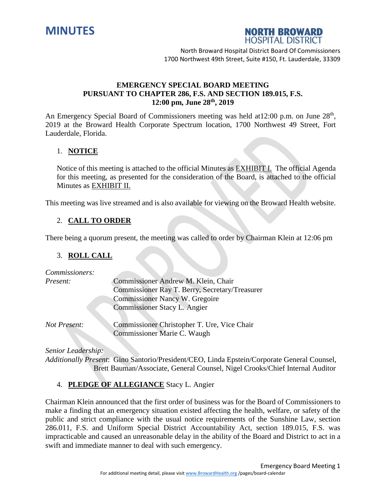



North Broward Hospital District Board Of Commissioners 1700 Northwest 49th Street, Suite #150, Ft. Lauderdale, 33309

### **EMERGENCY SPECIAL BOARD MEETING PURSUANT TO CHAPTER 286, F.S. AND SECTION 189.015, F.S. 12:00 pm, June 28 th , 2019**

An Emergency Special Board of Commissioners meeting was held at 12:00 p.m. on June 28<sup>th</sup>, 2019 at the Broward Health Corporate Spectrum location, 1700 Northwest 49 Street, Fort Lauderdale, Florida.

# 1. **NOTICE**

Notice of this meeting is attached to the official Minutes as EXHIBIT I. The official Agenda for this meeting, as presented for the consideration of the Board, is attached to the official Minutes as EXHIBIT II.

This meeting was live streamed and is also available for viewing on the Broward Health website.

### 2. **CALL TO ORDER**

There being a quorum present, the meeting was called to order by Chairman Klein at 12:06 pm

#### 3. **ROLL CALL**

| Commissioners: |                                                |
|----------------|------------------------------------------------|
| Present:       | Commissioner Andrew M. Klein, Chair            |
|                | Commissioner Ray T. Berry, Secretary/Treasurer |
|                | <b>Commissioner Nancy W. Gregoire</b>          |
|                | Commissioner Stacy L. Angier                   |
|                |                                                |
| Not Present:   | Commissioner Christopher T. Ure, Vice Chair    |
|                | Commissioner Marie C. Waugh                    |

*Senior Leadership:*

*Additionally Present*: Gino Santorio/President/CEO, Linda Epstein/Corporate General Counsel, Brett Bauman/Associate, General Counsel, Nigel Crooks/Chief Internal Auditor

# 4. **PLEDGE OF ALLEGIANCE** Stacy L. Angier

Chairman Klein announced that the first order of business was for the Board of Commissioners to make a finding that an emergency situation existed affecting the health, welfare, or safety of the public and strict compliance with the usual notice requirements of the Sunshine Law, section 286.011, F.S. and Uniform Special District Accountability Act, section 189.015, F.S. was impracticable and caused an unreasonable delay in the ability of the Board and District to act in a swift and immediate manner to deal with such emergency.